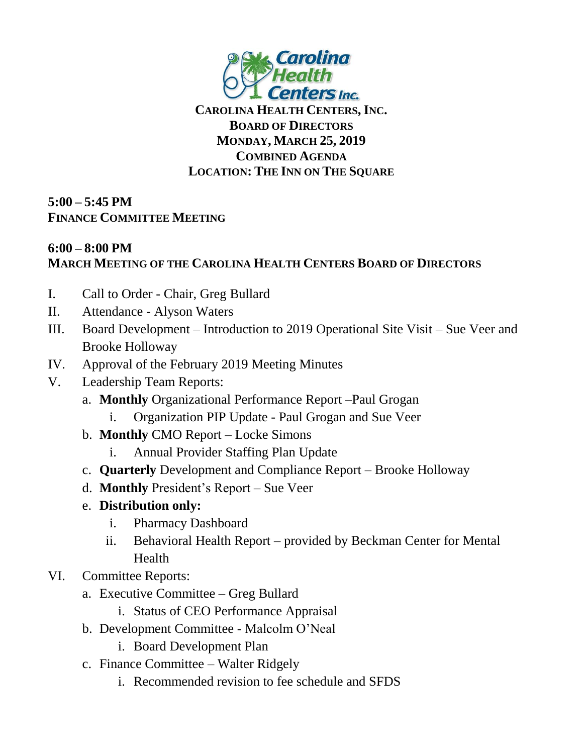

**CAROLINA HEALTH CENTERS,INC. BOARD OF DIRECTORS MONDAY, MARCH 25, 2019 COMBINED AGENDA LOCATION: THE INN ON THE SQUARE**

**5:00 – 5:45 PM FINANCE COMMITTEE MEETING**

## **6:00 – 8:00 PM MARCH MEETING OF THE CAROLINA HEALTH CENTERS BOARD OF DIRECTORS**

- I. Call to Order Chair, Greg Bullard
- II. Attendance Alyson Waters
- III. Board Development Introduction to 2019 Operational Site Visit Sue Veer and Brooke Holloway
- IV. Approval of the February 2019 Meeting Minutes
- V. Leadership Team Reports:
	- a. **Monthly** Organizational Performance Report –Paul Grogan
		- i. Organization PIP Update Paul Grogan and Sue Veer
	- b. **Monthly** CMO Report Locke Simons
		- i. Annual Provider Staffing Plan Update
	- c. **Quarterly** Development and Compliance Report Brooke Holloway
	- d. **Monthly** President's Report Sue Veer
	- e. **Distribution only:**
		- i. Pharmacy Dashboard
		- ii. Behavioral Health Report provided by Beckman Center for Mental Health
- VI. Committee Reports:
	- a. Executive Committee Greg Bullard
		- i. Status of CEO Performance Appraisal
	- b. Development Committee Malcolm O'Neal
		- i. Board Development Plan
	- c. Finance Committee Walter Ridgely
		- i. Recommended revision to fee schedule and SFDS